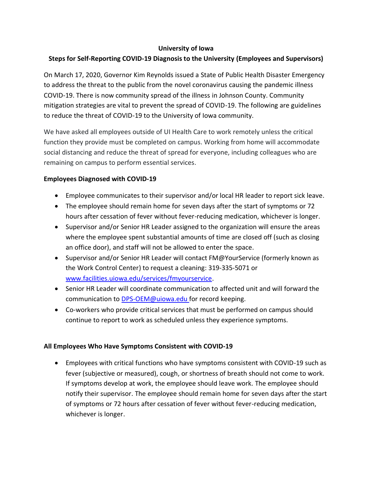#### **University of Iowa**

# **Steps for Self-Reporting COVID-19 Diagnosis to the University (Employees and Supervisors)**

On March 17, 2020, Governor Kim Reynolds issued a State of Public Health Disaster Emergency to address the threat to the public from the novel coronavirus causing the pandemic illness COVID-19. There is now community spread of the illness in Johnson County. Community mitigation strategies are vital to prevent the spread of COVID-19. The following are guidelines to reduce the threat of COVID-19 to the University of Iowa community.

We have asked all employees outside of UI Health Care to work remotely unless the critical function they provide must be completed on campus. Working from home will accommodate social distancing and reduce the threat of spread for everyone, including colleagues who are remaining on campus to perform essential services.

## **Employees Diagnosed with COVID-19**

- Employee communicates to their supervisor and/or local HR leader to report sick leave.
- The employee should remain home for seven days after the start of symptoms or 72 hours after cessation of fever without fever-reducing medication, whichever is longer.
- Supervisor and/or Senior HR Leader assigned to the organization will ensure the areas where the employee spent substantial amounts of time are closed off (such as closing an office door), and staff will not be allowed to enter the space.
- Supervisor and/or Senior HR Leader will contact FM@YourService (formerly known as the Work Control Center) to request a cleaning: 319-335-5071 or [www.facilities.uiowa.edu/services/fmyourservice.](http://www.facilities.uiowa.edu/services/fmyourservice)
- Senior HR Leader will coordinate communication to affected unit and will forward the communication to [DPS-OEM@uiowa.edu](mailto:DPS-OEM@uiowa.edu) for record keeping.
- Co-workers who provide critical services that must be performed on campus should continue to report to work as scheduled unless they experience symptoms.

#### **All Employees Who Have Symptoms Consistent with COVID-19**

• Employees with critical functions who have symptoms consistent with COVID-19 such as fever (subjective or measured), cough, or shortness of breath should not come to work. If symptoms develop at work, the employee should leave work. The employee should notify their supervisor. The employee should remain home for seven days after the start of symptoms or 72 hours after cessation of fever without fever-reducing medication, whichever is longer.